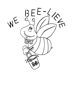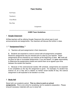## **Paper Heading**

Full Name

Teacher(s)

Class/Block

Due Date

Assignment

-------------------------------------------------------------------------------------------------

### **8-BEE Team Guidelines**

#### 1. **Google Classroom**

All Bee teachers will be utilizing Google Classroom this school year to post announcements and assignments. Your teachers will discuss this further in class.

#### 2. **\*\* Assignment Policy \*\***

A. Teachers will post assignments in their classrooms.

B. Students are expected to come to school with all assignments completed. Electronic assignments may be checked prior to class by your teacher. Paper assignments will be checked by your teacher at the beginning of class. **No** credit will be given for late or incomplete assignments. If you are absent, it is **your** responsibility to determine the assignments missed and submit them at an agreed upon time between the student and teacher.

C. Because of the science/social studies A/B schedule, assignments are expected to be completed on the day the assignment is given. For example: If a student has science on an A Day and is absent on his/her social studies B Day, the science assignment is still expected to be handed in on time.

### 3. **Study Hall**

Study hall is an academic period. **This is a time to work on school assignments.** This is not a time for socializing, but for academic preparation. Please bring all necessary materials with you to study hall.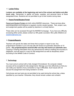## 4. **Locker Policy**

**Lockers are available at the beginning and end of the school and before and after lunch only.** Remember to gather all books, supplies, and personal items at these designated times. Students are not permitted to go to their lockers during class.

## 5. **Parent Portal/Student Portal**

Parent and Student Portals are both online MARSD resources. These services allow parents/guardians and students to regularly monitor student grades. Test, project, quiz, and assignment grades will be posted by teachers in a timely fashion.

These sites can be accessed through the MARSD homepage. If you have any difficulty accessing either portal, please contact our 8th grade counselor, Mrs.Lyttle (Waldron) at [awaldron@marsd.org.](mailto:awaldron@marsd.org)

# 6. **Projects/Reports**

Teachers will specify the dates and times that a project or report is due. Any project/report handed in up to one day late will receive an automatic deduction of 10 points. **Any projects/reports received after one day will receive an automatic zero**. Copying or sharing information from any person/source without crediting the source(s) is plagiarism, and will result in a zero for that assignment as well as disciplinary action according to the MAMS Code of Conduct.

# 7. **Technology**

You must come to school with a fully charged Chromebook. No computer related excuses will be accepted for late assignments. Manage your time effectively so that you can notify your teacher of any connection or log-in difficulties. Such issues will not excuse the assignment from being handed in on-time.

Cell phones and ear buds are not permitted to be used during the school day, unless specified by your teacher. Otherwise, they should remain unseen and unheard.